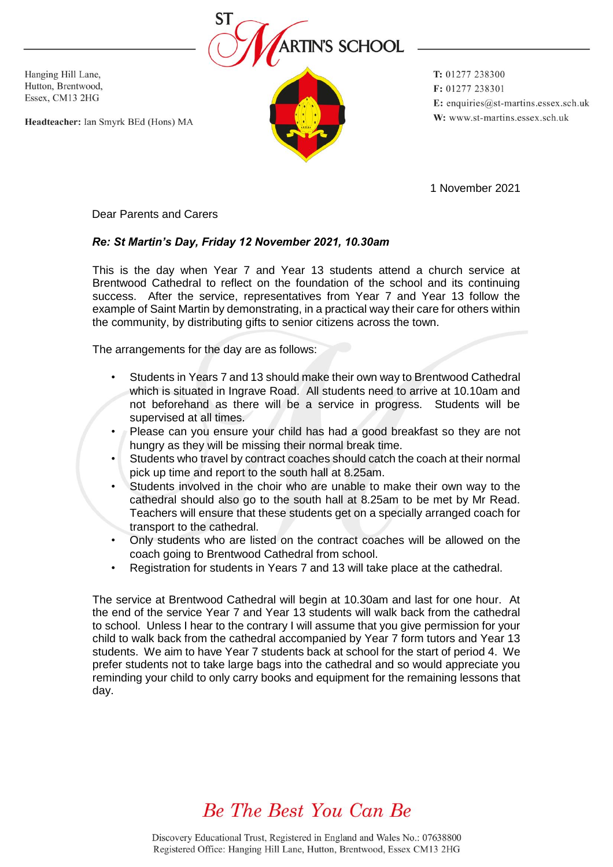

Hanging Hill Lane, Hutton, Brentwood, Essex, CM13 2HG

Headteacher: Ian Smyrk BEd (Hons) MA

T: 01277 238300 F: 01277 238301 E: enquiries@st-martins.essex.sch.uk W: www.st-martins.essex.sch.uk

1 November 2021

Dear Parents and Carers

## *Re: St Martin's Day, Friday 12 November 2021, 10.30am*

This is the day when Year 7 and Year 13 students attend a church service at Brentwood Cathedral to reflect on the foundation of the school and its continuing success. After the service, representatives from Year 7 and Year 13 follow the example of Saint Martin by demonstrating, in a practical way their care for others within the community, by distributing gifts to senior citizens across the town.

The arrangements for the day are as follows:

- Students in Years 7 and 13 should make their own way to Brentwood Cathedral which is situated in Ingrave Road. All students need to arrive at 10.10am and not beforehand as there will be a service in progress. Students will be supervised at all times.
- Please can you ensure your child has had a good breakfast so they are not hungry as they will be missing their normal break time.
- Students who travel by contract coaches should catch the coach at their normal pick up time and report to the south hall at 8.25am.
- Students involved in the choir who are unable to make their own way to the cathedral should also go to the south hall at 8.25am to be met by Mr Read. Teachers will ensure that these students get on a specially arranged coach for transport to the cathedral.
- Only students who are listed on the contract coaches will be allowed on the coach going to Brentwood Cathedral from school.
- Registration for students in Years 7 and 13 will take place at the cathedral.

The service at Brentwood Cathedral will begin at 10.30am and last for one hour. At the end of the service Year 7 and Year 13 students will walk back from the cathedral to school. Unless I hear to the contrary I will assume that you give permission for your child to walk back from the cathedral accompanied by Year 7 form tutors and Year 13 students. We aim to have Year 7 students back at school for the start of period 4. We prefer students not to take large bags into the cathedral and so would appreciate you reminding your child to only carry books and equipment for the remaining lessons that day.

## Be The Best You Can Be